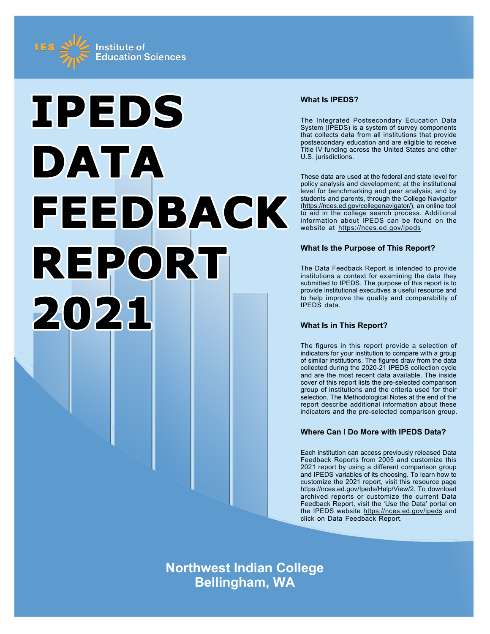



# **What Is IPEDS?**

The Integrated Postsecondary Education Data System (IPEDS) is a system of survey components that collects data from all institutions that provide postsecondary education and are eligible to receive Title IV funding across the United States and other U.S. jurisdictions.

These data are used at the federal and state level for policy analysis and development; at the institutional level for benchmarking and peer analysis; and by students and parents, through the College Navigator ([https://nces.ed.gov/collegenavigator/\)](https://nces.ed.gov/collegenavigator/), an online tool to aid in the college search process. Additional information about IPEDS can be found on the website at<https://nces.ed.gov/ipeds>.

# **What Is the Purpose of This Report?**

The Data Feedback Report is intended to provide institutions a context for examining the data they submitted to IPEDS. The purpose of this report is to provide institutional executives a useful resource and to help improve the quality and comparability of IPEDS data.

# **What Is in This Report?**

The figures in this report provide a selection of indicators for your institution to compare with a group of similar institutions. The figures draw from the data collected during the 2020-21 IPEDS collection cycle and are the most recent data available. The inside cover of this report lists the pre-selected comparison group of institutions and the criteria used for their selection. The Methodological Notes at the end of the report describe additional information about these indicators and the pre-selected comparison group.

# **Where Can I Do More with IPEDS Data?**

Each institution can access previously released Data Feedback Reports from 2005 and customize this 2021 report by using a different comparison group and IPEDS variables of its choosing. To learn how to customize the 2021 report, visit this resource page <https://nces.ed.gov/Ipeds/Help/View/2>. To download archived reports or customize the current Data Feedback Report, visit the 'Use the Data' portal on the IPEDS website<https://nces.ed.gov/ipeds> and click on Data Feedback Report.

**Northwest Indian College Bellingham, WA**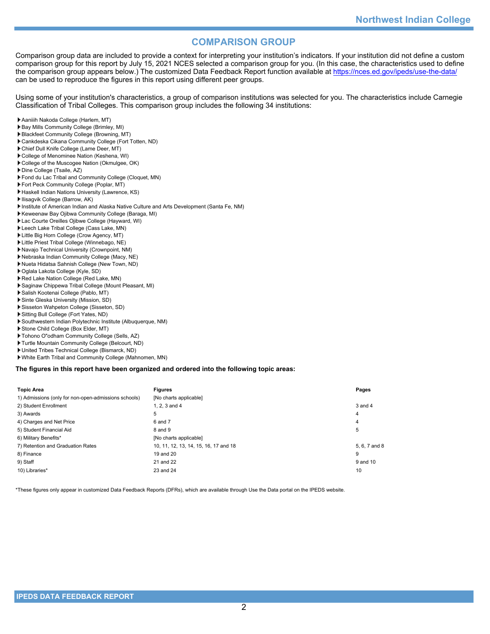# **COMPARISON GROUP**

Comparison group data are included to provide a context for interpreting your institution's indicators. If your institution did not define a custom comparison group for this report by July 15, 2021 NCES selected a comparison group for you. (In this case, the characteristics used to define the comparison group appears below.) The customized Data Feedback Report function available at<https://nces.ed.gov/ipeds/use-the-data/> can be used to reproduce the figures in this report using different peer groups.

Using some of your institution's characteristics, a group of comparison institutions was selected for you. The characteristics include Carnegie Classification of Tribal Colleges. This comparison group includes the following 34 institutions:

- Aaniiih Nakoda College (Harlem, MT)
- Bay Mills Community College (Brimley, MI)
- Blackfeet Community College (Browning, MT)
- Cankdeska Cikana Community College (Fort Totten, ND)
- Chief Dull Knife College (Lame Deer, MT)
- College of Menominee Nation (Keshena, WI)
- College of the Muscogee Nation (Okmulgee, OK)
- Dine College (Tsaile, AZ)
- Fond du Lac Tribal and Community College (Cloquet, MN)
- Fort Peck Community College (Poplar, MT)
- Haskell Indian Nations University (Lawrence, KS)
- Ilisagvik College (Barrow, AK)
- Institute of American Indian and Alaska Native Culture and Arts Development (Santa Fe, NM)
- Keweenaw Bay Ojibwa Community College (Baraga, MI)
- Lac Courte Oreilles Ojibwe College (Hayward, WI)
- Leech Lake Tribal College (Cass Lake, MN)
- Little Big Horn College (Crow Agency, MT)
- Little Priest Tribal College (Winnebago, NE)
- Navajo Technical University (Crownpoint, NM)
- Nebraska Indian Community College (Macy, NE)
- Nueta Hidatsa Sahnish College (New Town, ND)
- Oglala Lakota College (Kyle, SD)
- Red Lake Nation College (Red Lake, MN)
- Saginaw Chippewa Tribal College (Mount Pleasant, MI)
- Salish Kootenai College (Pablo, MT)
- Sinte Gleska University (Mission, SD)
- Sisseton Wahpeton College (Sisseton, SD)
- Sitting Bull College (Fort Yates, ND)
- Southwestern Indian Polytechnic Institute (Albuquerque, NM)
- Stone Child College (Box Elder, MT)
- Tohono O"odham Community College (Sells, AZ)
- Turtle Mountain Community College (Belcourt, ND)
- United Tribes Technical College (Bismarck, ND)
- White Earth Tribal and Community College (Mahnomen, MN)

**The figures in this report have been organized and ordered into the following topic areas:**

| <b>Topic Area</b>                                    | <b>Figures</b>                        | Pages         |
|------------------------------------------------------|---------------------------------------|---------------|
| 1) Admissions (only for non-open-admissions schools) | [No charts applicable]                |               |
| 2) Student Enrollment                                | 1. $2.3$ and $4$                      | $3$ and $4$   |
| 3) Awards                                            | 5                                     | 4             |
| 4) Charges and Net Price                             | 6 and 7                               | 4             |
| 5) Student Financial Aid                             | 8 and 9                               | 5             |
| 6) Military Benefits*                                | [No charts applicable]                |               |
| 7) Retention and Graduation Rates                    | 10, 11, 12, 13, 14, 15, 16, 17 and 18 | 5, 6, 7 and 8 |
| 8) Finance                                           | 19 and 20                             | 9             |
| 9) Staff                                             | 21 and 22                             | 9 and 10      |
| 10) Libraries*                                       | 23 and 24                             | 10            |

\*These figures only appear in customized Data Feedback Reports (DFRs), which are available through Use the Data portal on the IPEDS website.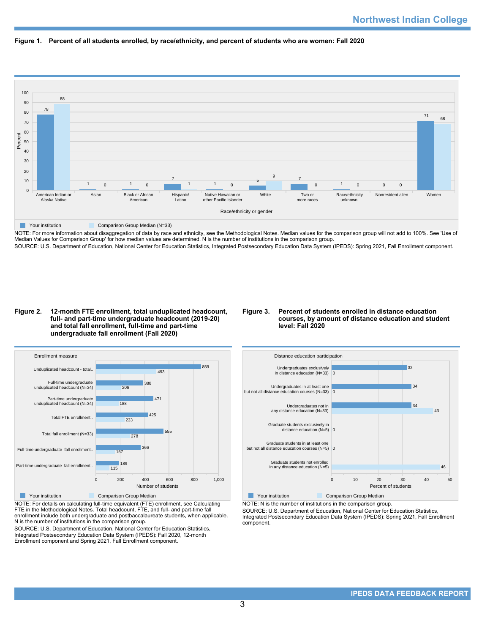



NOTE: For more information about disaggregation of data by race and ethnicity, see the Methodological Notes. Median values for the comparison group will not add to 100%. See 'Use of Median Values for Comparison Group' for how median values are determined. N is the number of institutions in the comparison group. SOURCE: U.S. Department of Education, National Center for Education Statistics, Integrated Postsecondary Education Data System (IPEDS): Spring 2021, Fall Enrollment component.

### **Figure 2. 12-month FTE enrollment, total unduplicated headcount, full- and part-time undergraduate headcount (2019-20) and total fall enrollment, full-time and part-time undergraduate fall enrollment (Fall 2020)**

### **Figure 3. Percent of students enrolled in distance education courses, by amount of distance education and student level: Fall 2020**



**Nour institution Comparison Group Median** 

NOTE: For details on calculating full-time equivalent (FTE) enrollment, see Calculating FTE in the Methodological Notes. Total headcount, FTE, and full- and part-time fall enrollment include both undergraduate and postbaccalaureate students, when applicable. N is the number of institutions in the comparison group.

SOURCE: U.S. Department of Education, National Center for Education Statistics, Integrated Postsecondary Education Data System (IPEDS): Fall 2020, 12-month Enrollment component and Spring 2021, Fall Enrollment component.



NOTE: N is the number of institutions in the comparison group.

SOURCE: U.S. Department of Education, National Center for Education Statistics,

Integrated Postsecondary Education Data System (IPEDS): Spring 2021, Fall Enrollment component.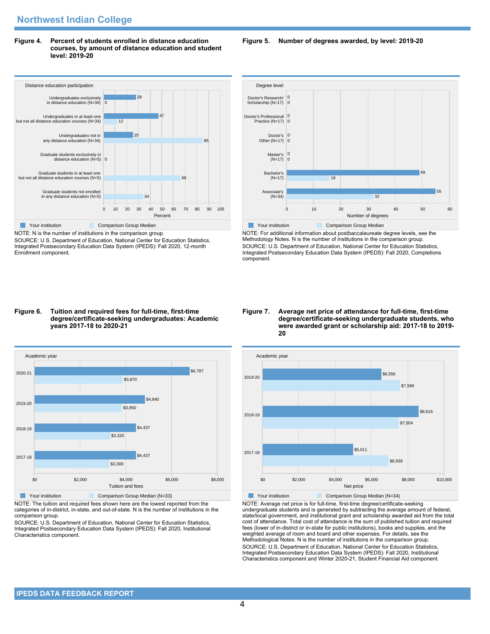**Figure 4. Percent of students enrolled in distance education courses, by amount of distance education and student level: 2019-20**



NOTE: N is the number of institutions in the comparison group. SOURCE: U.S. Department of Education, National Center for Education Statistics, Integrated Postsecondary Education Data System (IPEDS): Fall 2020, 12-month Enrollment component.

### **Figure 5. Number of degrees awarded, by level: 2019-20**



NOTE: For additional information about postbaccalaureate degree levels, see the Methodology Notes. N is the number of institutions in the comparison group. SOURCE: U.S. Department of Education, National Center for Education Statistics, Integrated Postsecondary Education Data System (IPEDS): Fall 2020, Completions component.

#### **Figure 6. Tuition and required fees for full-time, first-time degree/certificate-seeking undergraduates: Academic years 2017-18 to 2020-21**



NOTE: The tuition and required fees shown here are the lowest reported from the categories of in-district, in-state, and out-of-state. N is the number of institutions in the comparison group.

SOURCE: U.S. Department of Education, National Center for Education Statistics, Integrated Postsecondary Education Data System (IPEDS): Fall 2020, Institutional Characteristics component.

#### **Figure 7. Average net price of attendance for full-time, first-time degree/certificate-seeking undergraduate students, who were awarded grant or scholarship aid: 2017-18 to 2019- 20**



NOTE: Average net price is for full-time, first-time degree/certificate-seeking undergraduate students and is generated by subtracting the average amount of federal, state/local government, and institutional grant and scholarship awarded aid from the total cost of attendance. Total cost of attendance is the sum of published tuition and required fees (lower of in-district or in-state for public institutions), books and supplies, and the weighted average of room and board and other expenses. For details, see the Methodological Notes. N is the number of institutions in the comparison group. SOURCE: U.S. Department of Education, National Center for Education Statistics, Integrated Postsecondary Education Data System (IPEDS): Fall 2020, Institutional Characteristics component and Winter 2020-21, Student Financial Aid component.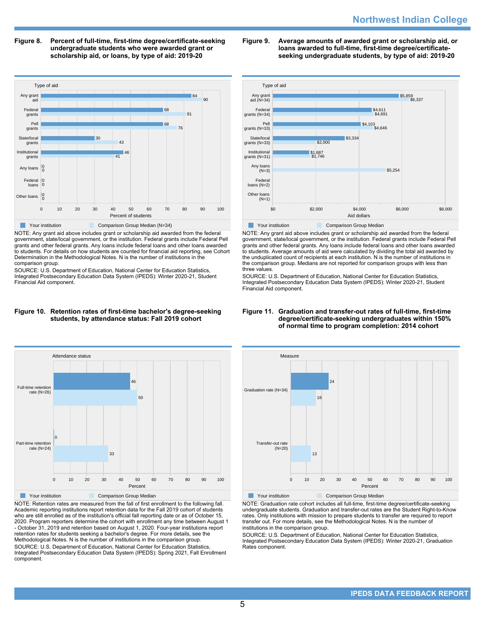**Figure 8. Percent of full-time, first-time degree/certificate-seeking undergraduate students who were awarded grant or scholarship aid, or loans, by type of aid: 2019-20**



NOTE: Any grant aid above includes grant or scholarship aid awarded from the federal government, state/local government, or the institution. Federal grants include Federal Pell grants and other federal grants. Any loans include federal loans and other loans awarded to students. For details on how students are counted for financial aid reporting, see Cohort Determination in the Methodological Notes. N is the number of institutions in the comparison group.

SOURCE: U.S. Department of Education, National Center for Education Statistics, Integrated Postsecondary Education Data System (IPEDS): Winter 2020-21, Student Financial Aid component.

# **Figure 9. Average amounts of awarded grant or scholarship aid, or loans awarded to full-time, first-time degree/certificateseeking undergraduate students, by type of aid: 2019-20**



NOTE: Any grant aid above includes grant or scholarship aid awarded from the federal government, state/local government, or the institution. Federal grants include Federal Pell grants and other federal grants. Any loans include federal loans and other loans awarded to students. Average amounts of aid were calculated by dividing the total aid awarded by the unduplicated count of recipients at each institution. N is the number of institutions in the comparison group. Medians are not reported for comparison groups with less than three values.

SOURCE: U.S. Department of Education, National Center for Education Statistics, Integrated Postsecondary Education Data System (IPEDS): Winter 2020-21, Student Financial Aid component.

### **Figure 10. Retention rates of first-time bachelor's degree-seeking students, by attendance status: Fall 2019 cohort**



NOTE: Retention rates are measured from the fall of first enrollment to the following fall. Academic reporting institutions report retention data for the Fall 2019 cohort of students who are still enrolled as of the institution's official fall reporting date or as of October 15, 2020. Program reporters determine the cohort with enrollment any time between August 1 - October 31, 2019 and retention based on August 1, 2020. Four-year institutions report retention rates for students seeking a bachelor's degree. For more details, see the Methodological Notes. N is the number of institutions in the comparison group. SOURCE: U.S. Department of Education, National Center for Education Statistics, Integrated Postsecondary Education Data System (IPEDS): Spring 2021, Fall Enrollment component.

### **Figure 11. Graduation and transfer-out rates of full-time, first-time degree/certificate-seeking undergraduates within 150% of normal time to program completion: 2014 cohort**



NOTE: Graduation rate cohort includes all full-time, first-time degree/certificate-seeking undergraduate students. Graduation and transfer-out rates are the Student Right-to-Know rates. Only institutions with mission to prepare students to transfer are required to report transfer out. For more details, see the Methodological Notes. N is the number of institutions in the comparison group.

SOURCE: U.S. Department of Education, National Center for Education Statistics, Integrated Postsecondary Education Data System (IPEDS): Winter 2020-21, Graduation Rates component.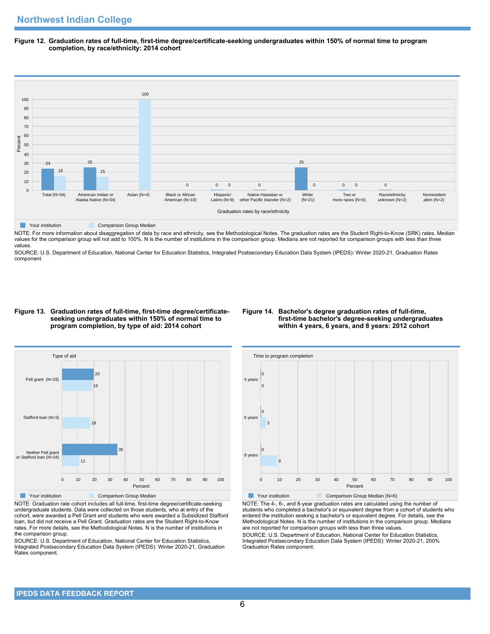**Figure 12. Graduation rates of full-time, first-time degree/certificate-seeking undergraduates within 150% of normal time to program completion, by race/ethnicity: 2014 cohort**



NOTE: For more information about disaggregation of data by race and ethnicity, see the Methodological Notes. The graduation rates are the Student Right-to-Know (SRK) rates. Median values for the comparison group will not add to 100%. N is the number of institutions in the comparison group. Medians are not reported for comparison groups with less than three values.

SOURCE: U.S. Department of Education, National Center for Education Statistics, Integrated Postsecondary Education Data System (IPEDS): Winter 2020-21, Graduation Rates component.

### **Figure 13. Graduation rates of full-time, first-time degree/certificateseeking undergraduates within 150% of normal time to program completion, by type of aid: 2014 cohort**

### **Figure 14. Bachelor's degree graduation rates of full-time, first-time bachelor's degree-seeking undergraduates within 4 years, 6 years, and 8 years: 2012 cohort**



NOTE: Graduation rate cohort includes all full-time, first-time degree/certificate-seeking undergraduate students. Data were collected on those students, who at entry of the cohort, were awarded a Pell Grant and students who were awarded a Subsidized Stafford loan, but did not receive a Pell Grant. Graduation rates are the Student Right-to-Know rates. For more details, see the Methodological Notes. N is the number of institutions in the comparison group.

SOURCE: U.S. Department of Education, National Center for Education Statistics, Integrated Postsecondary Education Data System (IPEDS): Winter 2020-21, Graduation Rates component.



**The Comparison Group Median (N=6)** Comparison Group Median (N=6)

NOTE: The 4-, 6-, and 8-year graduation rates are calculated using the number of students who completed a bachelor's or equivalent degree from a cohort of students who entered the institution seeking a bachelor's or equivalent degree. For details, see the Methodological Notes. N is the number of institutions in the comparison group. Medians are not reported for comparison groups with less than three values. SOURCE: U.S. Department of Education, National Center for Education Statistics,

Integrated Postsecondary Education Data System (IPEDS): Winter 2020-21, 200% Graduation Rates component.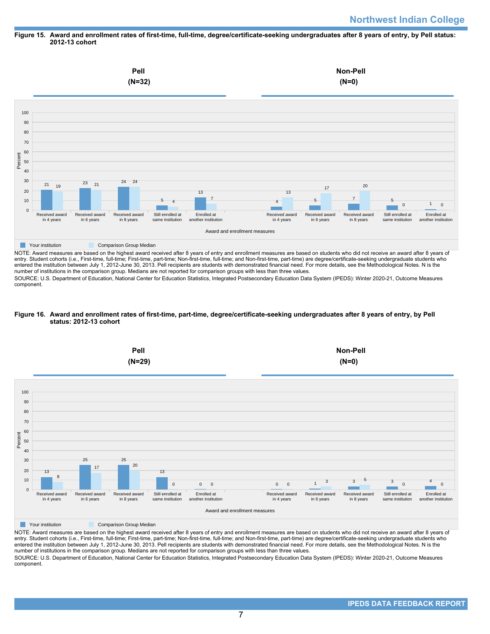### **Figure 15. Award and enrollment rates of first-time, full-time, degree/certificate-seeking undergraduates after 8 years of entry, by Pell status: 2012-13 cohort**



NOTE: Award measures are based on the highest award received after 8 years of entry and enrollment measures are based on students who did not receive an award after 8 years of entry. Student cohorts (i.e., First-time, full-time; First-time, part-time; Non-first-time, full-time; and Non-first-time, part-time) are degree/certificate-seeking undergraduate students who entered the institution between July 1, 2012-June 30, 2013. Pell recipients are students with demonstrated financial need. For more details, see the Methodological Notes. N is the number of institutions in the comparison group. Medians are not reported for comparison groups with less than three values.

SOURCE: U.S. Department of Education, National Center for Education Statistics, Integrated Postsecondary Education Data System (IPEDS): Winter 2020-21, Outcome Measures component.

### **Figure 16. Award and enrollment rates of first-time, part-time, degree/certificate-seeking undergraduates after 8 years of entry, by Pell status: 2012-13 cohort**



NOTE: Award measures are based on the highest award received after 8 years of entry and enrollment measures are based on students who did not receive an award after 8 years of entry. Student cohorts (i.e., First-time, full-time; First-time, part-time; Non-first-time, full-time; and Non-first-time, part-time) are degree/certificate-seeking undergraduate students who entered the institution between July 1, 2012-June 30, 2013. Pell recipients are students with demonstrated financial need. For more details, see the Methodological Notes. N is the number of institutions in the comparison group. Medians are not reported for comparison groups with less than three values. SOURCE: U.S. Department of Education, National Center for Education Statistics, Integrated Postsecondary Education Data System (IPEDS): Winter 2020-21, Outcome Measures component.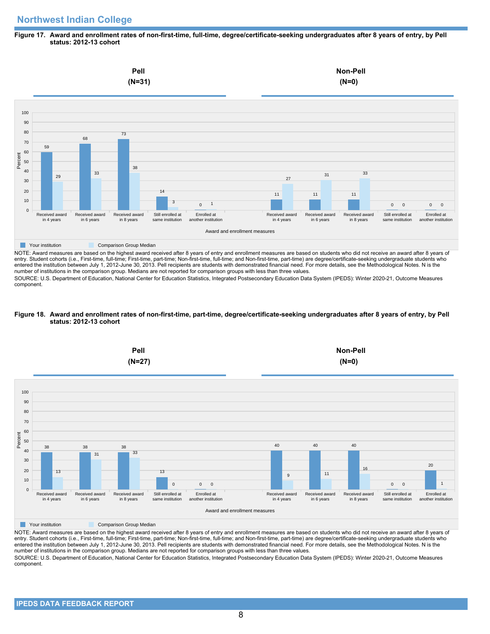### **Figure 17. Award and enrollment rates of non-first-time, full-time, degree/certificate-seeking undergraduates after 8 years of entry, by Pell status: 2012-13 cohort**



NOTE: Award measures are based on the highest award received after 8 years of entry and enrollment measures are based on students who did not receive an award after 8 years of entry. Student cohorts (i.e., First-time, full-time; First-time, part-time; Non-first-time, full-time; and Non-first-time, part-time) are degree/certificate-seeking undergraduate students who entered the institution between July 1, 2012-June 30, 2013. Pell recipients are students with demonstrated financial need. For more details, see the Methodological Notes. N is the number of institutions in the comparison group. Medians are not reported for comparison groups with less than three values.

SOURCE: U.S. Department of Education, National Center for Education Statistics, Integrated Postsecondary Education Data System (IPEDS): Winter 2020-21, Outcome Measures component.

### **Figure 18. Award and enrollment rates of non-first-time, part-time, degree/certificate-seeking undergraduates after 8 years of entry, by Pell status: 2012-13 cohort**



NOTE: Award measures are based on the highest award received after 8 years of entry and enrollment measures are based on students who did not receive an award after 8 years of entry. Student cohorts (i.e., First-time, full-time; First-time, part-time; Non-first-time, full-time; and Non-first-time, part-time) are degree/certificate-seeking undergraduate students who entered the institution between July 1, 2012-June 30, 2013. Pell recipients are students with demonstrated financial need. For more details, see the Methodological Notes. N is the number of institutions in the comparison group. Medians are not reported for comparison groups with less than three values. SOURCE: U.S. Department of Education, National Center for Education Statistics, Integrated Postsecondary Education Data System (IPEDS): Winter 2020-21, Outcome Measures component.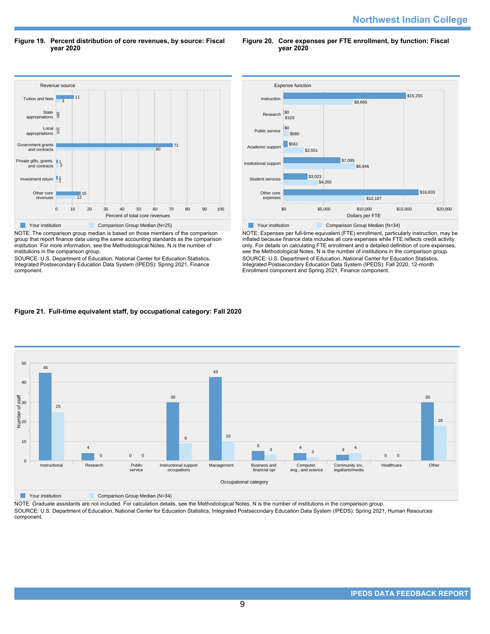**Figure 19. Percent distribution of core revenues, by source: Fiscal year 2020**

**Figure 20. Core expenses per FTE enrollment, by function: Fiscal year 2020**



NOTE: The comparison group median is based on those members of the comparison group that report finance data using the same accounting standards as the comparison institution. For more information, see the Methodological Notes. N is the number of institutions in the comparison group.

SOURCE: U.S. Department of Education, National Center for Education Statistics, Integrated Postsecondary Education Data System (IPEDS): Spring 2021, Finance component.



NOTE: Expenses per full-time equivalent (FTE) enrollment, particularly instruction, may be inflated because finance data includes all core expenses while FTE reflects credit activity only. For details on calculating FTE enrollment and a detailed definition of core expenses, see the Methodological Notes. N is the number of institutions in the comparison group. SOURCE: U.S. Department of Education, National Center for Education Statistics, Integrated Postsecondary Education Data System (IPEDS): Fall 2020, 12-month Enrollment component and Spring 2021, Finance component.

# **Figure 21. Full-time equivalent staff, by occupational category: Fall 2020**



**The Comparison Group Median (N=34)** Comparison Group Median (N=34)

NOTE: Graduate assistants are not included. For calculation details, see the Methodological Notes. N is the number of institutions in the comparison group. SOURCE: U.S. Department of Education, National Center for Education Statistics, Integrated Postsecondary Education Data System (IPEDS): Spring 2021, Human Resources component.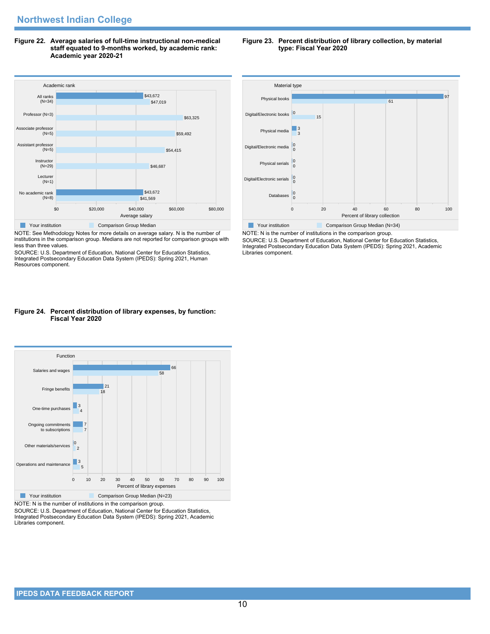**Figure 22. Average salaries of full-time instructional non-medical staff equated to 9-months worked, by academic rank: Academic year 2020-21**



NOTE: See Methodology Notes for more details on average salary. N is the number of institutions in the comparison group. Medians are not reported for comparison groups with less than three values.

SOURCE: U.S. Department of Education, National Center for Education Statistics, Integrated Postsecondary Education Data System (IPEDS): Spring 2021, Human Resources component.

### **Figure 24. Percent distribution of library expenses, by function: Fiscal Year 2020**



NOTE: N is the number of institutions in the comparison group.

SOURCE: U.S. Department of Education, National Center for Education Statistics, Integrated Postsecondary Education Data System (IPEDS): Spring 2021, Academic Libraries component.

#### **Figure 23. Percent distribution of library collection, by material type: Fiscal Year 2020**



NOTE: N is the number of institutions in the comparison group. SOURCE: U.S. Department of Education, National Center for Education Statistics, Integrated Postsecondary Education Data System (IPEDS): Spring 2021, Academic Libraries component.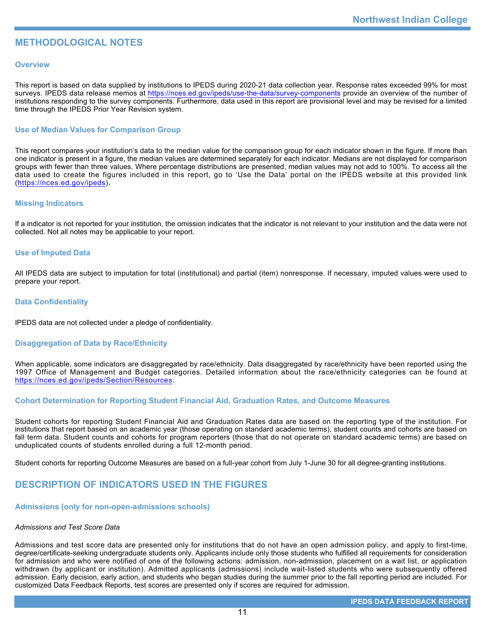# **METHODOLOGICAL NOTES**

# **Overview**

This report is based on data supplied by institutions to IPEDS during 2020-21 data collection year. Response rates exceeded 99% for most surveys. IPEDS data release memos at <https://nces.ed.gov/ipeds/use-the-data/survey-components> provide an overview of the number of institutions responding to the survey components. Furthermore, data used in this report are provisional level and may be revised for a limited time through the IPEDS Prior Year Revision system.

# **Use of Median Values for Comparison Group**

This report compares your institution's data to the median value for the comparison group for each indicator shown in the figure. If more than one indicator is present in a figure, the median values are determined separately for each indicator. Medians are not displayed for comparison groups with fewer than three values. Where percentage distributions are presented, median values may not add to 100%. To access all the data used to create the figures included in this report, go to 'Use the Data' portal on the IPEDS website at this provided link (<https://nces.ed.gov/ipeds>).

# **Missing Indicators**

If a indicator is not reported for your institution, the omission indicates that the indicator is not relevant to your institution and the data were not collected. Not all notes may be applicable to your report.

### **Use of Imputed Data**

All IPEDS data are subject to imputation for total (institutional) and partial (item) nonresponse. If necessary, imputed values were used to prepare your report.

# **Data Confidentiality**

IPEDS data are not collected under a pledge of confidentiality.

# **Disaggregation of Data by Race/Ethnicity**

When applicable, some indicators are disaggregated by race/ethnicity. Data disaggregated by race/ethnicity have been reported using the 1997 Office of Management and Budget categories. Detailed information about the race/ethnicity categories can be found at <https://nces.ed.gov/ipeds/Section/Resources>.

# **Cohort Determination for Reporting Student Financial Aid, Graduation Rates, and Outcome Measures**

Student cohorts for reporting Student Financial Aid and Graduation Rates data are based on the reporting type of the institution. For institutions that report based on an academic year (those operating on standard academic terms), student counts and cohorts are based on fall term data. Student counts and cohorts for program reporters (those that do not operate on standard academic terms) are based on unduplicated counts of students enrolled during a full 12-month period.

Student cohorts for reporting Outcome Measures are based on a full-year cohort from July 1-June 30 for all degree-granting institutions.

# **DESCRIPTION OF INDICATORS USED IN THE FIGURES**

### **Admissions (only for non-open-admissions schools)**

### *Admissions and Test Score Data*

Admissions and test score data are presented only for institutions that do not have an open admission policy, and apply to first-time, degree/certificate-seeking undergraduate students only. Applicants include only those students who fulfilled all requirements for consideration for admission and who were notified of one of the following actions: admission, non-admission, placement on a wait list, or application withdrawn (by applicant or institution). Admitted applicants (admissions) include wait-listed students who were subsequently offered admission. Early decision, early action, and students who began studies during the summer prior to the fall reporting period are included. For customized Data Feedback Reports, test scores are presented only if scores are required for admission.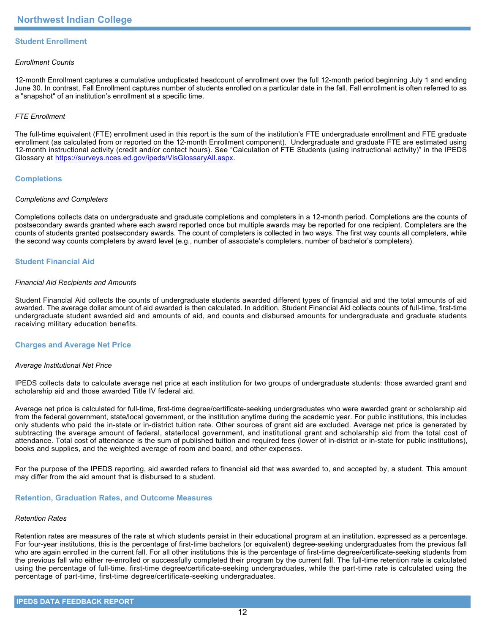# **Student Enrollment**

### *Enrollment Counts*

12-month Enrollment captures a cumulative unduplicated headcount of enrollment over the full 12-month period beginning July 1 and ending June 30. In contrast, Fall Enrollment captures number of students enrolled on a particular date in the fall. Fall enrollment is often referred to as a "snapshot" of an institution's enrollment at a specific time.

# *FTE Enrollment*

The full-time equivalent (FTE) enrollment used in this report is the sum of the institution's FTE undergraduate enrollment and FTE graduate enrollment (as calculated from or reported on the 12-month Enrollment component). Undergraduate and graduate FTE are estimated using 12-month instructional activity (credit and/or contact hours). See "Calculation of FTE Students (using instructional activity)" in the IPEDS Glossary at <https://surveys.nces.ed.gov/ipeds/VisGlossaryAll.aspx>.

# **Completions**

### *Completions and Completers*

Completions collects data on undergraduate and graduate completions and completers in a 12-month period. Completions are the counts of postsecondary awards granted where each award reported once but multiple awards may be reported for one recipient. Completers are the counts of students granted postsecondary awards. The count of completers is collected in two ways. The first way counts all completers, while the second way counts completers by award level (e.g., number of associate's completers, number of bachelor's completers).

# **Student Financial Aid**

### *Financial Aid Recipients and Amounts*

Student Financial Aid collects the counts of undergraduate students awarded different types of financial aid and the total amounts of aid awarded. The average dollar amount of aid awarded is then calculated. In addition, Student Financial Aid collects counts of full-time, first-time undergraduate student awarded aid and amounts of aid, and counts and disbursed amounts for undergraduate and graduate students receiving military education benefits.

### **Charges and Average Net Price**

### *Average Institutional Net Price*

IPEDS collects data to calculate average net price at each institution for two groups of undergraduate students: those awarded grant and scholarship aid and those awarded Title IV federal aid.

Average net price is calculated for full-time, first-time degree/certificate-seeking undergraduates who were awarded grant or scholarship aid from the federal government, state/local government, or the institution anytime during the academic year. For public institutions, this includes only students who paid the in-state or in-district tuition rate. Other sources of grant aid are excluded. Average net price is generated by subtracting the average amount of federal, state/local government, and institutional grant and scholarship aid from the total cost of attendance. Total cost of attendance is the sum of published tuition and required fees (lower of in-district or in-state for public institutions), books and supplies, and the weighted average of room and board, and other expenses.

For the purpose of the IPEDS reporting, aid awarded refers to financial aid that was awarded to, and accepted by, a student. This amount may differ from the aid amount that is disbursed to a student.

### **Retention, Graduation Rates, and Outcome Measures**

### *Retention Rates*

Retention rates are measures of the rate at which students persist in their educational program at an institution, expressed as a percentage. For four-year institutions, this is the percentage of first-time bachelors (or equivalent) degree-seeking undergraduates from the previous fall who are again enrolled in the current fall. For all other institutions this is the percentage of first-time degree/certificate-seeking students from the previous fall who either re-enrolled or successfully completed their program by the current fall. The full-time retention rate is calculated using the percentage of full-time, first-time degree/certificate-seeking undergraduates, while the part-time rate is calculated using the percentage of part-time, first-time degree/certificate-seeking undergraduates.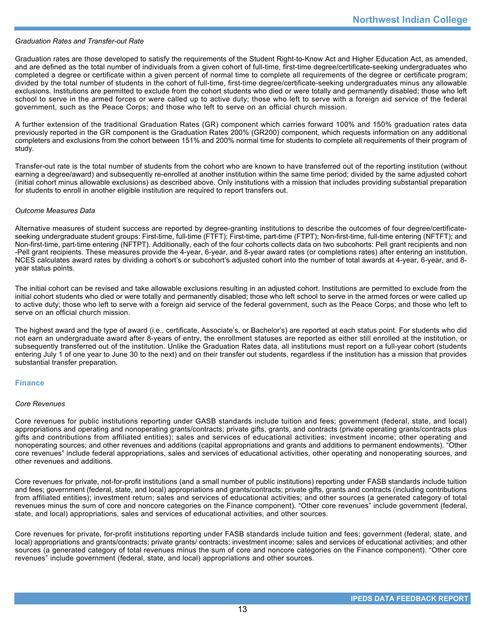### *Graduation Rates and Transfer-out Rate*

Graduation rates are those developed to satisfy the requirements of the Student Right-to-Know Act and Higher Education Act, as amended, and are defined as the total number of individuals from a given cohort of full-time, first-time degree/certificate-seeking undergraduates who completed a degree or certificate within a given percent of normal time to complete all requirements of the degree or certificate program; divided by the total number of students in the cohort of full-time, first-time degree/certificate-seeking undergraduates minus any allowable exclusions. Institutions are permitted to exclude from the cohort students who died or were totally and permanently disabled; those who left school to serve in the armed forces or were called up to active duty; those who left to serve with a foreign aid service of the federal government, such as the Peace Corps; and those who left to serve on an official church mission.

A further extension of the traditional Graduation Rates (GR) component which carries forward 100% and 150% graduation rates data previously reported in the GR component is the Graduation Rates 200% (GR200) component, which requests information on any additional completers and exclusions from the cohort between 151% and 200% normal time for students to complete all requirements of their program of study.

Transfer-out rate is the total number of students from the cohort who are known to have transferred out of the reporting institution (without earning a degree/award) and subsequently re-enrolled at another institution within the same time period; divided by the same adjusted cohort (initial cohort minus allowable exclusions) as described above. Only institutions with a mission that includes providing substantial preparation for students to enroll in another eligible institution are required to report transfers out.

### *Outcome Measures Data*

Alternative measures of student success are reported by degree-granting institutions to describe the outcomes of four degree/certificateseeking undergraduate student groups: First-time, full-time (FTFT); First-time, part-time (FTPT); Non-first-time, full-time entering (NFTFT); and Non-first-time, part-time entering (NFTPT). Additionally, each of the four cohorts collects data on two subcohorts: Pell grant recipients and non -Pell grant recipients. These measures provide the 4-year, 6-year, and 8-year award rates (or completions rates) after entering an institution. NCES calculates award rates by dividing a cohort's or subcohort's adjusted cohort into the number of total awards at 4-year, 6-year, and 8year status points.

The initial cohort can be revised and take allowable exclusions resulting in an adjusted cohort. Institutions are permitted to exclude from the initial cohort students who died or were totally and permanently disabled; those who left school to serve in the armed forces or were called up to active duty; those who left to serve with a foreign aid service of the federal government, such as the Peace Corps; and those who left to serve on an official church mission.

The highest award and the type of award (i.e., certificate, Associate's, or Bachelor's) are reported at each status point. For students who did not earn an undergraduate award after 8-years of entry, the enrollment statuses are reported as either still enrolled at the institution, or subsequently transferred out of the institution. Unlike the Graduation Rates data, all institutions must report on a full-year cohort (students entering July 1 of one year to June 30 to the next) and on their transfer out students, regardless if the institution has a mission that provides substantial transfer preparation.

### **Finance**

### *Core Revenues*

Core revenues for public institutions reporting under GASB standards include tuition and fees; government (federal, state, and local) appropriations and operating and nonoperating grants/contracts; private gifts, grants, and contracts (private operating grants/contracts plus gifts and contributions from affiliated entities); sales and services of educational activities; investment income; other operating and nonoperating sources; and other revenues and additions (capital appropriations and grants and additions to permanent endowments). "Other core revenues" include federal appropriations, sales and services of educational activities, other operating and nonoperating sources, and other revenues and additions.

Core revenues for private, not-for-profit institutions (and a small number of public institutions) reporting under FASB standards include tuition and fees; government (federal, state, and local) appropriations and grants/contracts; private gifts, grants and contracts (including contributions from affiliated entities); investment return; sales and services of educational activities; and other sources (a generated category of total revenues minus the sum of core and noncore categories on the Finance component). "Other core revenues" include government (federal, state, and local) appropriations, sales and services of educational activities, and other sources.

Core revenues for private, for-profit institutions reporting under FASB standards include tuition and fees; government (federal, state, and local) appropriations and grants/contracts; private grants/ contracts; investment income; sales and services of educational activities; and other sources (a generated category of total revenues minus the sum of core and noncore categories on the Finance component). "Other core revenues" include government (federal, state, and local) appropriations and other sources.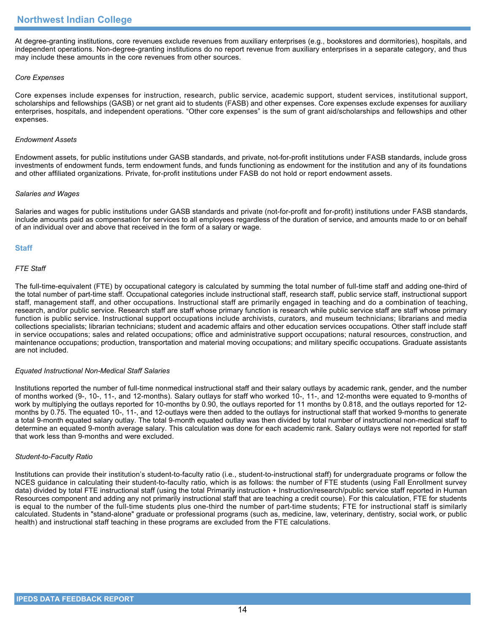At degree-granting institutions, core revenues exclude revenues from auxiliary enterprises (e.g., bookstores and dormitories), hospitals, and independent operations. Non-degree-granting institutions do no report revenue from auxiliary enterprises in a separate category, and thus may include these amounts in the core revenues from other sources.

# *Core Expenses*

Core expenses include expenses for instruction, research, public service, academic support, student services, institutional support, scholarships and fellowships (GASB) or net grant aid to students (FASB) and other expenses. Core expenses exclude expenses for auxiliary enterprises, hospitals, and independent operations. "Other core expenses" is the sum of grant aid/scholarships and fellowships and other expenses.

### *Endowment Assets*

Endowment assets, for public institutions under GASB standards, and private, not-for-profit institutions under FASB standards, include gross investments of endowment funds, term endowment funds, and funds functioning as endowment for the institution and any of its foundations and other affiliated organizations. Private, for-profit institutions under FASB do not hold or report endowment assets.

### *Salaries and Wages*

Salaries and wages for public institutions under GASB standards and private (not-for-profit and for-profit) institutions under FASB standards, include amounts paid as compensation for services to all employees regardless of the duration of service, and amounts made to or on behalf of an individual over and above that received in the form of a salary or wage.

# **Staff**

# *FTE Staff*

The full-time-equivalent (FTE) by occupational category is calculated by summing the total number of full-time staff and adding one-third of the total number of part-time staff. Occupational categories include instructional staff, research staff, public service staff, instructional support staff, management staff, and other occupations. Instructional staff are primarily engaged in teaching and do a combination of teaching, research, and/or public service. Research staff are staff whose primary function is research while public service staff are staff whose primary function is public service. Instructional support occupations include archivists, curators, and museum technicians; librarians and media collections specialists; librarian technicians; student and academic affairs and other education services occupations. Other staff include staff in service occupations; sales and related occupations; office and administrative support occupations; natural resources, construction, and maintenance occupations; production, transportation and material moving occupations; and military specific occupations. Graduate assistants are not included.

### *Equated Instructional Non-Medical Staff Salaries*

Institutions reported the number of full-time nonmedical instructional staff and their salary outlays by academic rank, gender, and the number of months worked (9-, 10-, 11-, and 12-months). Salary outlays for staff who worked 10-, 11-, and 12-months were equated to 9-months of work by multiplying the outlays reported for 10-months by 0.90, the outlays reported for 11 months by 0.818, and the outlays reported for 12 months by 0.75. The equated 10-, 11-, and 12-outlays were then added to the outlays for instructional staff that worked 9-months to generate a total 9-month equated salary outlay. The total 9-month equated outlay was then divided by total number of instructional non-medical staff to determine an equated 9-month average salary. This calculation was done for each academic rank. Salary outlays were not reported for staff that work less than 9-months and were excluded.

### *Student-to-Faculty Ratio*

Institutions can provide their institution's student-to-faculty ratio (i.e., student-to-instructional staff) for undergraduate programs or follow the NCES guidance in calculating their student-to-faculty ratio, which is as follows: the number of FTE students (using Fall Enrollment survey data) divided by total FTE instructional staff (using the total Primarily instruction + Instruction/research/public service staff reported in Human Resources component and adding any not primarily instructional staff that are teaching a credit course). For this calculation, FTE for students is equal to the number of the full-time students plus one-third the number of part-time students; FTE for instructional staff is similarly calculated. Students in "stand-alone" graduate or professional programs (such as, medicine, law, veterinary, dentistry, social work, or public health) and instructional staff teaching in these programs are excluded from the FTE calculations.